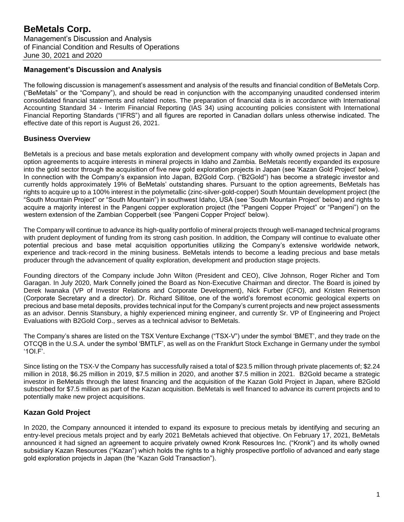## **Management's Discussion and Analysis**

The following discussion is management's assessment and analysis of the results and financial condition of BeMetals Corp. ("BeMetals" or the "Company"), and should be read in conjunction with the accompanying unaudited condensed interim consolidated financial statements and related notes. The preparation of financial data is in accordance with International Accounting Standard 34 - Interim Financial Reporting (IAS 34) using accounting policies consistent with International Financial Reporting Standards ("IFRS") and all figures are reported in Canadian dollars unless otherwise indicated. The effective date of this report is August 26, 2021.

## **Business Overview**

BeMetals is a precious and base metals exploration and development company with wholly owned projects in Japan and option agreements to acquire interests in mineral projects in Idaho and Zambia. BeMetals recently expanded its exposure into the gold sector through the acquisition of five new gold exploration projects in Japan (see 'Kazan Gold Project' below). In connection with the Company's expansion into Japan, B2Gold Corp. ("B2Gold") has become a strategic investor and currently holds approximately 19% of BeMetals' outstanding shares. Pursuant to the option agreements, BeMetals has rights to acquire up to a 100% interest in the polymetallic (zinc-silver-gold-copper) South Mountain development project (the "South Mountain Project" or "South Mountain") in southwest Idaho, USA (see 'South Mountain Project' below) and rights to acquire a majority interest in the Pangeni copper exploration project (the "Pangeni Copper Project" or "Pangeni") on the western extension of the Zambian Copperbelt (see 'Pangeni Copper Project' below).

The Company will continue to advance its high-quality portfolio of mineral projects through well-managed technical programs with prudent deployment of funding from its strong cash position. In addition, the Company will continue to evaluate other potential precious and base metal acquisition opportunities utilizing the Company's extensive worldwide network, experience and track-record in the mining business. BeMetals intends to become a leading precious and base metals producer through the advancement of quality exploration, development and production stage projects.

Founding directors of the Company include John Wilton (President and CEO), Clive Johnson, Roger Richer and Tom Garagan. In July 2020, Mark Connelly joined the Board as Non-Executive Chairman and director. The Board is joined by Derek Iwanaka (VP of Investor Relations and Corporate Development), Nick Furber (CFO), and Kristen Reinertson (Corporate Secretary and a director). Dr. Richard Sillitoe, one of the world's foremost economic geological experts on precious and base metal deposits, provides technical input for the Company's current projects and new project assessments as an advisor. Dennis Stansbury, a highly experienced mining engineer, and currently Sr. VP of Engineering and Project Evaluations with B2Gold Corp., serves as a technical advisor to BeMetals.

The Company's shares are listed on the TSX Venture Exchange ("TSX-V") under the symbol 'BMET', and they trade on the OTCQB in the U.S.A. under the symbol 'BMTLF', as well as on the Frankfurt Stock Exchange in Germany under the symbol '1OI.F'.

Since listing on the TSX-V the Company has successfully raised a total of \$23.5 million through private placements of; \$2.24 million in 2018, \$6.25 million in 2019, \$7.5 million in 2020, and another \$7.5 million in 2021. B2Gold became a strategic investor in BeMetals through the latest financing and the acquisition of the Kazan Gold Project in Japan, where B2Gold subscribed for \$7.5 million as part of the Kazan acquisition. BeMetals is well financed to advance its current projects and to potentially make new project acquisitions.

## **Kazan Gold Project**

In 2020, the Company announced it intended to expand its exposure to precious metals by identifying and securing an entry-level precious metals project and by early 2021 BeMetals achieved that objective. On February 17, 2021, BeMetals announced it had signed an agreement to acquire privately owned Kronk Resources Inc. ("Kronk") and its wholly owned subsidiary Kazan Resources ("Kazan") which holds the rights to a highly prospective portfolio of advanced and early stage gold exploration projects in Japan (the "Kazan Gold Transaction").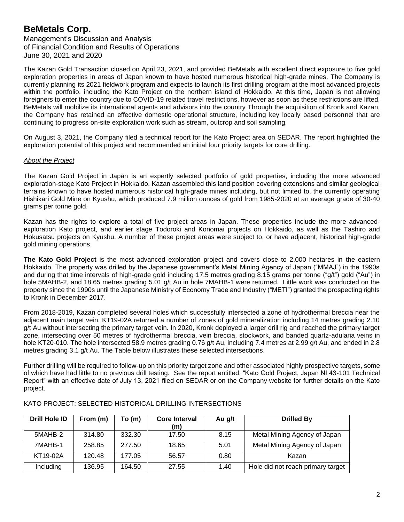Management's Discussion and Analysis of Financial Condition and Results of Operations June 30, 2021 and 2020

The Kazan Gold Transaction closed on April 23, 2021, and provided BeMetals with excellent direct exposure to five gold exploration properties in areas of Japan known to have hosted numerous historical high-grade mines. The Company is currently planning its 2021 fieldwork program and expects to launch its first drilling program at the most advanced projects within the portfolio, including the Kato Project on the northern island of Hokkaido. At this time, Japan is not allowing foreigners to enter the country due to COVID-19 related travel restrictions, however as soon as these restrictions are lifted, BeMetals will mobilize its international agents and advisors into the country Through the acquisition of Kronk and Kazan, the Company has retained an effective domestic operational structure, including key locally based personnel that are continuing to progress on-site exploration work such as stream, outcrop and soil sampling.

On August 3, 2021, the Company filed a technical report for the Kato Project area on SEDAR. The report highlighted the exploration potential of this project and recommended an initial four priority targets for core drilling.

#### *About the Project*

The Kazan Gold Project in Japan is an expertly selected portfolio of gold properties, including the more advanced exploration-stage Kato Project in Hokkaido. Kazan assembled this land position covering extensions and similar geological terrains known to have hosted numerous historical high-grade mines including, but not limited to, the currently operating Hishikari Gold Mine on Kyushu, which produced 7.9 million ounces of gold from 1985-2020 at an average grade of 30-40 grams per tonne gold.

Kazan has the rights to explore a total of five project areas in Japan. These properties include the more advancedexploration Kato project, and earlier stage Todoroki and Konomai projects on Hokkaido, as well as the Tashiro and Hokusatsu projects on Kyushu. A number of these project areas were subject to, or have adjacent, historical high-grade gold mining operations.

**The Kato Gold Project** is the most advanced exploration project and covers close to 2,000 hectares in the eastern Hokkaido. The property was drilled by the Japanese government's Metal Mining Agency of Japan ("MMAJ") in the 1990s and during that time intervals of high-grade gold including 17.5 metres grading 8.15 grams per tonne ("g/t") gold ("Au") in hole 5MAHB-2, and 18.65 metres grading 5.01 g/t Au in hole 7MAHB-1 were returned. Little work was conducted on the property since the 1990s until the Japanese Ministry of Economy Trade and Industry ("METI") granted the prospecting rights to Kronk in December 2017.

From 2018-2019, Kazan completed several holes which successfully intersected a zone of hydrothermal breccia near the adjacent main target vein. KT19-02A returned a number of zones of gold mineralization including 14 metres grading 2.10 g/t Au without intersecting the primary target vein. In 2020, Kronk deployed a larger drill rig and reached the primary target zone, intersecting over 50 metres of hydrothermal breccia, vein breccia, stockwork, and banded quartz-adularia veins in hole KT20-010. The hole intersected 58.9 metres grading 0.76 g/t Au, including 7.4 metres at 2.99 g/t Au, and ended in 2.8 metres grading 3.1 g/t Au. The Table below illustrates these selected intersections.

Further drilling will be required to follow-up on this priority target zone and other associated highly prospective targets, some of which have had little to no previous drill testing. See the report entitled, "Kato Gold Project, Japan NI 43-101 Technical Report" with an effective date of July 13, 2021 filed on SEDAR or on the Company website for further details on the Kato project.

| <b>Drill Hole ID</b> | From (m) | To (m) | <b>Core Interval</b><br>(m) | Au g/t | <b>Drilled By</b>                 |
|----------------------|----------|--------|-----------------------------|--------|-----------------------------------|
| 5MAHB-2              | 314.80   | 332.30 | 17.50                       | 8.15   | Metal Mining Agency of Japan      |
| 7MAHB-1              | 258.85   | 277.50 | 18.65                       | 5.01   | Metal Mining Agency of Japan      |
| KT19-02A             | 120.48   | 177.05 | 56.57                       | 0.80   | Kazan                             |
| Including            | 136.95   | 164.50 | 27.55                       | 1.40   | Hole did not reach primary target |

### KATO PROJECT: SELECTED HISTORICAL DRILLING INTERSECTIONS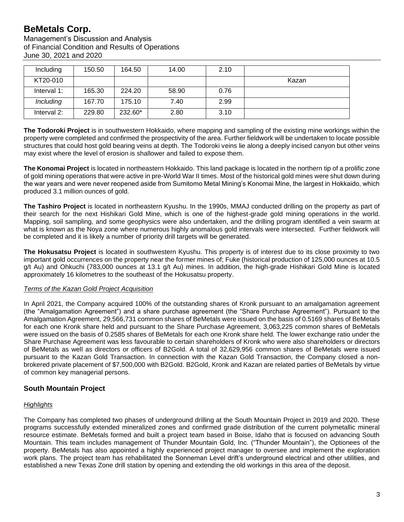Management's Discussion and Analysis of Financial Condition and Results of Operations June 30, 2021 and 2020

| Including   | 150.50 | 164.50  | 14.00 | 2.10 |       |
|-------------|--------|---------|-------|------|-------|
| KT20-010    |        |         |       |      | Kazan |
| Interval 1: | 165.30 | 224.20  | 58.90 | 0.76 |       |
| Including   | 167.70 | 175.10  | 7.40  | 2.99 |       |
| Interval 2: | 229.80 | 232.60* | 2.80  | 3.10 |       |

**The Todoroki Project** is in southwestern Hokkaido, where mapping and sampling of the existing mine workings within the property were completed and confirmed the prospectivity of the area. Further fieldwork will be undertaken to locate possible structures that could host gold bearing veins at depth. The Todoroki veins lie along a deeply incised canyon but other veins may exist where the level of erosion is shallower and failed to expose them.

**The Konomai Project** is located in northeastern Hokkaido. This land package is located in the northern tip of a prolific zone of gold mining operations that were active in pre-World War II times. Most of the historical gold mines were shut down during the war years and were never reopened aside from Sumitomo Metal Mining's Konomai Mine, the largest in Hokkaido, which produced 3.1 million ounces of gold.

**The Tashiro Project** is located in northeastern Kyushu. In the 1990s, MMAJ conducted drilling on the property as part of their search for the next Hishikari Gold Mine, which is one of the highest-grade gold mining operations in the world. Mapping, soil sampling, and some geophysics were also undertaken, and the drilling program identified a vein swarm at what is known as the Noya zone where numerous highly anomalous gold intervals were intersected. Further fieldwork will be completed and it is likely a number of priority drill targets will be generated.

**The Hokusatsu Project** is located in southwestern Kyushu. This property is of interest due to its close proximity to two important gold occurrences on the property near the former mines of; Fuke (historical production of 125,000 ounces at 10.5 g/t Au) and Ohkuchi (783,000 ounces at 13.1 g/t Au) mines. In addition, the high-grade Hishikari Gold Mine is located approximately 16 kilometres to the southeast of the Hokusatsu property.

### *Terms of the Kazan Gold Project Acquisition*

In April 2021, the Company acquired 100% of the outstanding shares of Kronk pursuant to an amalgamation agreement (the "Amalgamation Agreement") and a share purchase agreement (the "Share Purchase Agreement"). Pursuant to the Amalgamation Agreement, 29,566,731 common shares of BeMetals were issued on the basis of 0.5169 shares of BeMetals for each one Kronk share held and pursuant to the Share Purchase Agreement, 3,063,225 common shares of BeMetals were issued on the basis of 0.2585 shares of BeMetals for each one Kronk share held. The lower exchange ratio under the Share Purchase Agreement was less favourable to certain shareholders of Kronk who were also shareholders or directors of BeMetals as well as directors or officers of B2Gold. A total of 32,629,956 common shares of BeMetals were issued pursuant to the Kazan Gold Transaction. In connection with the Kazan Gold Transaction, the Company closed a nonbrokered private placement of \$7,500,000 with B2Gold. B2Gold, Kronk and Kazan are related parties of BeMetals by virtue of common key managerial persons.

# **South Mountain Project**

## *Highlights*

The Company has completed two phases of underground drilling at the South Mountain Project in 2019 and 2020. These programs successfully extended mineralized zones and confirmed grade distribution of the current polymetallic mineral resource estimate. BeMetals formed and built a project team based in Boise, Idaho that is focused on advancing South Mountain. This team includes management of Thunder Mountain Gold, Inc. ("Thunder Mountain"), the Optionees of the property. BeMetals has also appointed a highly experienced project manager to oversee and implement the exploration work plans. The project team has rehabilitated the Sonneman Level drift's underground electrical and other utilities, and established a new Texas Zone drill station by opening and extending the old workings in this area of the deposit.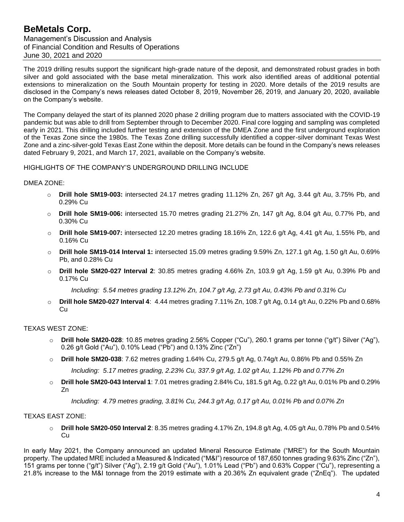Management's Discussion and Analysis of Financial Condition and Results of Operations June 30, 2021 and 2020

The 2019 drilling results support the significant high-grade nature of the deposit, and demonstrated robust grades in both silver and gold associated with the base metal mineralization. This work also identified areas of additional potential extensions to mineralization on the South Mountain property for testing in 2020. More details of the 2019 results are disclosed in the Company's news releases dated October 8, 2019, November 26, 2019, and January 20, 2020, available on the Company's website.

The Company delayed the start of its planned 2020 phase 2 drilling program due to matters associated with the COVID-19 pandemic but was able to drill from September through to December 2020. Final core logging and sampling was completed early in 2021. This drilling included further testing and extension of the DMEA Zone and the first underground exploration of the Texas Zone since the 1980s. The Texas Zone drilling successfully identified a copper-silver dominant Texas West Zone and a zinc-silver-gold Texas East Zone within the deposit. More details can be found in the Company's news releases dated February 9, 2021, and March 17, 2021, available on the Company's website.

HIGHLIGHTS OF THE COMPANY'S UNDERGROUND DRILLING INCLUDE

### DMEA ZONE:

- o **Drill hole SM19-003:** intersected 24.17 metres grading 11.12% Zn, 267 g/t Ag, 3.44 g/t Au, 3.75% Pb, and 0.29% Cu
- **Drill hole SM19-006:** intersected 15.70 metres grading 21.27% Zn, 147 g/t Ag, 8.04 g/t Au, 0.77% Pb, and 0.30% Cu
- o **Drill hole SM19-007:** intersected 12.20 metres grading 18.16% Zn, 122.6 g/t Ag, 4.41 g/t Au, 1.55% Pb, and 0.16% Cu
- o **Drill hole SM19-014 Interval 1:** intersected 15.09 metres grading 9.59% Zn, 127.1 g/t Ag, 1.50 g/t Au, 0.69% Pb, and 0.28% Cu
- o **Drill hole SM20-027 Interval 2**: 30.85 metres grading 4.66% Zn, 103.9 g/t Ag, 1.59 g/t Au, 0.39% Pb and 0.17% Cu

*Including: 5.54 metres grading 13.12% Zn, 104.7 g/t Ag, 2.73 g/t Au, 0.43% Pb and 0.31% Cu*

o **Drill hole SM20-027 Interval 4**: 4.44 metres grading 7.11% Zn, 108.7 g/t Ag, 0.14 g/t Au, 0.22% Pb and 0.68% Cu

### TEXAS WEST ZONE:

- o **Drill hole SM20-028**: 10.85 metres grading 2.56% Copper ("Cu"), 260.1 grams per tonne ("g/t") Silver ("Ag"), 0.26 g/t Gold ("Au"), 0.10% Lead ("Pb") and 0.13% Zinc ("Zn")
- o **Drill hole SM20-038**: 7.62 metres grading 1.64% Cu, 279.5 g/t Ag, 0.74g/t Au, 0.86% Pb and 0.55% Zn *Including: 5.17 metres grading, 2.23% Cu, 337.9 g/t Ag, 1.02 g/t Au, 1.12% Pb and 0.77% Zn*
- o **Drill hole SM20-043 Interval 1**: 7.01 metres grading 2.84% Cu, 181.5 g/t Ag, 0.22 g/t Au, 0.01% Pb and 0.29% Zn

*Including: 4.79 metres grading, 3.81% Cu, 244.3 g/t Ag, 0.17 g/t Au, 0.01% Pb and 0.07% Zn*

### TEXAS EAST ZONE:

o **Drill hole SM20-050 Interval 2**: 8.35 metres grading 4.17% Zn, 194.8 g/t Ag, 4.05 g/t Au, 0.78% Pb and 0.54% Cu

In early May 2021, the Company announced an updated Mineral Resource Estimate ("MRE") for the South Mountain property. The updated MRE included a Measured & Indicated ("M&I") resource of 187,650 tonnes grading 9.63% Zinc ("Zn"), 151 grams per tonne ("g/t") Silver ("Ag"), 2.19 g/t Gold ("Au"), 1.01% Lead ("Pb") and 0.63% Copper ("Cu"), representing a 21.8% increase to the M&I tonnage from the 2019 estimate with a 20.36% Zn equivalent grade ("ZnEq"). The updated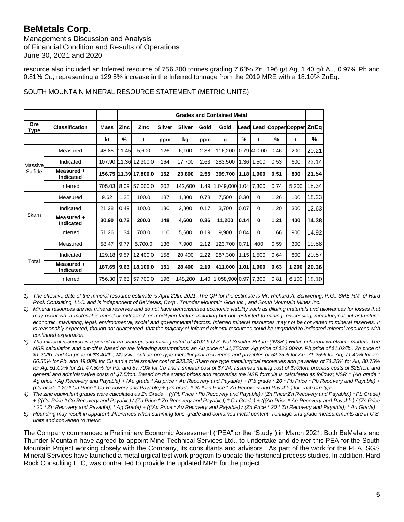Management's Discussion and Analysis of Financial Condition and Results of Operations June 30, 2021 and 2020

resource also included an Inferred resource of 756,300 tonnes grading 7.63% Zn, 196 g/t Ag, 1.40 g/t Au, 0.97% Pb and 0.81% Cu, representing a 129.5% increase in the Inferred tonnage from the 2019 MRE with a 18.10% ZnEq.

|             |                                |             | <b>Grades and Contained Metal</b> |                       |               |               |      |                      |      |              |                             |       |       |
|-------------|--------------------------------|-------------|-----------------------------------|-----------------------|---------------|---------------|------|----------------------|------|--------------|-----------------------------|-------|-------|
| Ore<br>Type | <b>Classification</b>          | <b>Mass</b> | <b>Zinc</b>                       | <b>Zinc</b>           | <b>Silver</b> | <b>Silver</b> | Gold | Gold                 |      |              | Lead Lead CopperCopper ZnEq |       |       |
|             |                                | kt          | $\frac{9}{6}$                     | t                     | ppm           | kg            | ppm  | g                    | %    | t            | %                           | t     | %     |
|             | Measured                       | 48.85       | 11.45                             | 5,600                 | 126           | 6,100         | 2.38 | 116,200              |      | 0.79 400.00  | 0.46                        | 200   | 20.21 |
| Massive.    | Indicated                      |             |                                   | 107.90 11.36 12,300.0 | 164           | 17,700        | 2.63 | 283,500              |      | $1.36$ 1,500 | 0.53                        | 600   | 22.14 |
| Sulfide     | Measured +<br><b>Indicated</b> |             |                                   | 156.75 11.39 17,800.0 | 152           | 23,800        | 2.55 | 399,700              |      | $1.18$ 1,900 | 0.51                        | 800   | 21.54 |
|             | Inferred                       | 705.03      | 8.09                              | 57,000.0              | 202           | 142,600       | 1.49 | 1,049,000 1.04 7,300 |      |              | 0.74                        | 5,200 | 18.34 |
|             | Measured                       | 9.62        | 1.25                              | 100.0                 | 187           | 1,800         | 0.78 | 7,500                | 0.30 | 0            | 1.26                        | 100   | 18.23 |
|             | Indicated                      | 21.28       | 0.49                              | 100.0                 | 130           | 2,800         | 0.17 | 3,700                | 0.07 | $\Omega$     | 1.20                        | 300   | 12.63 |
| Skarn       | Measured +<br><b>Indicated</b> | 30.90       | 0.72                              | 200.0                 | 148           | 4,600         | 0.36 | 11,200               | 0.14 | 0            | 1.21                        | 400   | 14.38 |
|             | Inferred                       | 51.26       | 1.34                              | 700.0                 | 110           | 5,600         | 0.19 | 9,900                | 0.04 | 0            | 1.66                        | 900   | 14.92 |
|             | Measured                       | 58.47       | 9.77                              | 5,700.0               | 136           | 7,900         | 2.12 | 123,700              | 0.71 | 400          | 0.59                        | 300   | 19.88 |
|             | Indicated                      | 129.18      | 9.57                              | 12.400.0              | 158           | 20,400        | 2.22 | 287,300              | 1.15 | 1,500        | 0.64                        | 800   | 20.57 |
| Total       | Measured +<br>Indicated        | 187.65      | 9.63                              | 18,100.0              | 151           | 28,400        | 2.19 | 411,000              | 1.01 | 1,900        | 0.63                        | 1,200 | 20.36 |
|             | Inferred                       | 756.30      | 7.63                              | 57,700.0              | 196           | 148,200       | 1.40 | 1.058.900 0.97       |      | 7,300        | 0.81                        | 6,100 | 18.10 |

## SOUTH MOUNTAIN MINERAL RESOURCE STATEMENT (METRIC UNITS)

*1) The effective date of the mineral resource estimate is April 20th, 2021. The QP for the estimate is Mr. Richard A. Schwering, P.G., SME-RM, of Hard Rock Consulting, LLC. and is independent of BeMetals, Corp., Thunder Mountain Gold Inc., and South Mountain Mines Inc.*

- *2) Mineral resources are not mineral reserves and do not have demonstrated economic viability such as diluting materials and allowances for losses that may occur when material is mined or extracted; or modifying factors including but not restricted to mining, processing, metallurgical, infrastructure, economic, marketing, legal, environmental, social and governmental factors. Inferred mineral resources may not be converted to mineral reserves. It is reasonably expected, though not guaranteed, that the majority of Inferred mineral resources could be upgraded to Indicated mineral resources with continued exploration.*
- *3) The mineral resource is reported at an underground mining cutoff of \$102.5 U.S. Net Smelter Return ("NSR") within coherent wireframe models. The NSR calculation and cut-off is based on the following assumptions: an Au price of \$1,750/oz, Ag price of \$23.00/oz, Pb price of \$1.02/lb., Zn price of \$1.20/lb. and Cu price of \$3.40/lb.; Massive sulfide ore type metallurgical recoveries and payables of 52.25% for Au, 71.25% for Ag, 71.40% for Zn, 66.50% for Pb, and 49.00% for Cu and a total smelter cost of \$33.29; Skarn ore type metallurgical recoveries and payables of 71.25% for Au, 80.75% for Ag, 51.00% for Zn, 47.50% for Pb, and 87.70% for Cu and a smelter cost of \$7.24; assumed mining cost of \$70/ton, process costs of \$25/ton, and general and administrative costs of \$7.5/ton. Based on the stated prices and recoveries the NSR formula is calculated as follows; NSR = (Ag grade \* Ag price \* Ag Recovery and Payable) + (Au grade \* Au price \* Au Recovery and Payable) + (Pb grade \* 20 \* Pb Price \* Pb Recovery and Payable) + (Cu grade \* 20 \* Cu Price \* Cu Recovery and Payable) + (Zn grade \* 20 \* Zn Price \* Zn Recovery and Payable) for each ore type.*
- *4) The zinc equivalent grades were calculated as Zn Grade + (((Pb Price \* Pb Recovery and Payable) / (Zn Price\*Zn Recovery and Payable)) \* Pb Grade) + (((Cu Price \* Cu Recovery and Payable) / (Zn Price \* Zn Recovery and Payable)) \* Cu Grade) + (((Ag Price \* Ag Recovery and Payable) / (Zn Price \* 20 \* Zn Recovery and Payable)) \* Ag Grade) + (((Au Price \* Au Recovery and Payable) / (Zn Price \* 20 \* Zn Recovery and Payable)) \* Au Grade)*
- *5) Rounding may result in apparent differences when summing tons, grade and contained metal content. Tonnage and grade measurements are in U.S. units and converted to metric*

The Company commenced a Preliminary Economic Assessment ("PEA" or the "Study") in March 2021. Both BeMetals and Thunder Mountain have agreed to appoint Mine Technical Services Ltd., to undertake and deliver this PEA for the South Mountain Project working closely with the Company, its consultants and advisors. As part of the work for the PEA, SGS Mineral Services have launched a metallurgical test work program to update the historical process studies. In addition, Hard Rock Consulting LLC, was contracted to provide the updated MRE for the project.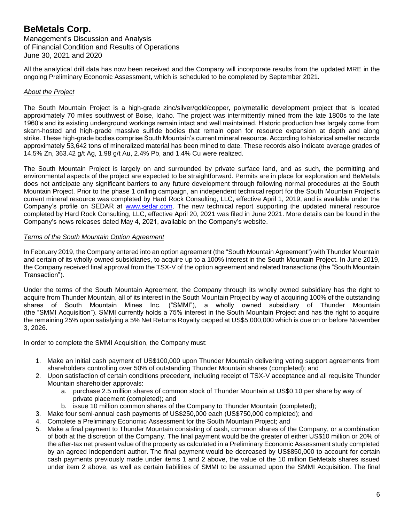Management's Discussion and Analysis of Financial Condition and Results of Operations June 30, 2021 and 2020

All the analytical drill data has now been received and the Company will incorporate results from the updated MRE in the ongoing Preliminary Economic Assessment, which is scheduled to be completed by September 2021.

#### *About the Project*

The South Mountain Project is a high-grade zinc/silver/gold/copper, polymetallic development project that is located approximately 70 miles southwest of Boise, Idaho. The project was intermittently mined from the late 1800s to the late 1960's and its existing underground workings remain intact and well maintained. Historic production has largely come from skarn-hosted and high-grade massive sulfide bodies that remain open for resource expansion at depth and along strike. These high-grade bodies comprise South Mountain's current mineral resource. According to historical smelter records approximately 53,642 tons of mineralized material has been mined to date. These records also indicate average grades of 14.5% Zn, 363.42 g/t Ag, 1.98 g/t Au, 2.4% Pb, and 1.4% Cu were realized.

The South Mountain Project is largely on and surrounded by private surface land, and as such, the permitting and environmental aspects of the project are expected to be straightforward. Permits are in place for exploration and BeMetals does not anticipate any significant barriers to any future development through following normal procedures at the South Mountain Project. Prior to the phase 1 drilling campaign, an independent technical report for the South Mountain Project's current mineral resource was completed by Hard Rock Consulting, LLC, effective April 1, 2019, and is available under the Company's profile on SEDAR at [www.sedar.com.](http://www.sedar.com/) The new technical report supporting the updated mineral resource completed by Hard Rock Consulting, LLC, effective April 20, 2021 was filed in June 2021. More details can be found in the Company's news releases dated May 4, 2021, available on the Company's website.

#### *Terms of the South Mountain Option Agreement*

In February 2019, the Company entered into an option agreement (the "South Mountain Agreement") with Thunder Mountain and certain of its wholly owned subsidiaries, to acquire up to a 100% interest in the South Mountain Project. In June 2019, the Company received final approval from the TSX-V of the option agreement and related transactions (the "South Mountain Transaction").

Under the terms of the South Mountain Agreement, the Company through its wholly owned subsidiary has the right to acquire from Thunder Mountain, all of its interest in the South Mountain Project by way of acquiring 100% of the outstanding shares of South Mountain Mines Inc. ("SMMI"), a wholly owned subsidiary of Thunder Mountain (the "SMMI Acquisition"). SMMI currently holds a 75% interest in the South Mountain Project and has the right to acquire the remaining 25% upon satisfying a 5% Net Returns Royalty capped at US\$5,000,000 which is due on or before November 3, 2026.

In order to complete the SMMI Acquisition, the Company must:

- 1. Make an initial cash payment of US\$100,000 upon Thunder Mountain delivering voting support agreements from shareholders controlling over 50% of outstanding Thunder Mountain shares (completed); and
- 2. Upon satisfaction of certain conditions precedent, including receipt of TSX-V acceptance and all requisite Thunder Mountain shareholder approvals:
	- a. purchase 2.5 million shares of common stock of Thunder Mountain at US\$0.10 per share by way of private placement (completed); and
	- b. issue 10 million common shares of the Company to Thunder Mountain (completed);
- 3. Make four semi-annual cash payments of US\$250,000 each (US\$750,000 completed); and
- 4. Complete a Preliminary Economic Assessment for the South Mountain Project; and
- 5. Make a final payment to Thunder Mountain consisting of cash, common shares of the Company, or a combination of both at the discretion of the Company. The final payment would be the greater of either US\$10 million or 20% of the after-tax net present value of the property as calculated in a Preliminary Economic Assessment study completed by an agreed independent author. The final payment would be decreased by US\$850,000 to account for certain cash payments previously made under items 1 and 2 above, the value of the 10 million BeMetals shares issued under item 2 above, as well as certain liabilities of SMMI to be assumed upon the SMMI Acquisition. The final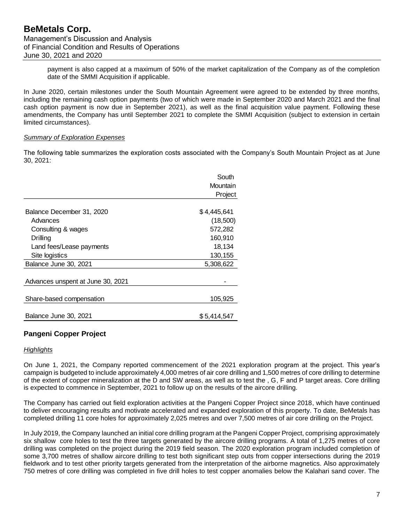payment is also capped at a maximum of 50% of the market capitalization of the Company as of the completion date of the SMMI Acquisition if applicable.

In June 2020, certain milestones under the South Mountain Agreement were agreed to be extended by three months, including the remaining cash option payments (two of which were made in September 2020 and March 2021 and the final cash option payment is now due in September 2021), as well as the final acquisition value payment. Following these amendments, the Company has until September 2021 to complete the SMMI Acquisition (subject to extension in certain limited circumstances).

#### *Summary of Exploration Expenses*

The following table summarizes the exploration costs associated with the Company's South Mountain Project as at June 30, 2021:

|                                   | South       |
|-----------------------------------|-------------|
|                                   | Mountain    |
|                                   | Project     |
|                                   |             |
| Balance December 31, 2020         | \$4,445,641 |
| Advances                          | (18,500)    |
| Consulting & wages                | 572,282     |
| Drilling                          | 160,910     |
| Land fees/Lease payments          | 18,134      |
| Site logistics                    | 130,155     |
| Balance June 30, 2021             | 5,308,622   |
| Advances unspent at June 30, 2021 |             |
| Share-based compensation          | 105,925     |
| Balance June 30, 2021             | \$5,414,547 |

## **Pangeni Copper Project**

### *Highlights*

On June 1, 2021, the Company reported commencement of the 2021 exploration program at the project. This year's campaign is budgeted to include approximately 4,000 metres of air core drilling and 1,500 metres of core drilling to determine of the extent of copper mineralization at the D and SW areas, as well as to test the , G, F and P target areas. Core drilling is expected to commence in September, 2021 to follow up on the results of the aircore drilling.

The Company has carried out field exploration activities at the Pangeni Copper Project since 2018, which have continued to deliver encouraging results and motivate accelerated and expanded exploration of this property. To date, BeMetals has completed drilling 11 core holes for approximately 2,025 metres and over 7,500 metres of air core drilling on the Project.

In July 2019, the Company launched an initial core drilling program at the Pangeni Copper Project, comprising approximately six shallow core holes to test the three targets generated by the aircore drilling programs. A total of 1,275 metres of core drilling was completed on the project during the 2019 field season. The 2020 exploration program included completion of some 3,700 metres of shallow aircore drilling to test both significant step outs from copper intersections during the 2019 fieldwork and to test other priority targets generated from the interpretation of the airborne magnetics. Also approximately 750 metres of core drilling was completed in five drill holes to test copper anomalies below the Kalahari sand cover. The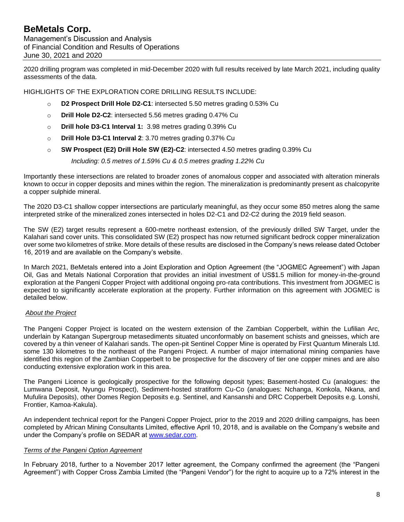2020 drilling program was completed in mid-December 2020 with full results received by late March 2021, including quality assessments of the data.

HIGHLIGHTS OF THE EXPLORATION CORE DRILLING RESULTS INCLUDE:

- o **D2 Prospect Drill Hole D2-C1**: intersected 5.50 metres grading 0.53% Cu
- o **Drill Hole D2-C2**: intersected 5.56 metres grading 0.47% Cu
- o **Drill hole D3-C1 Interval 1:** 3.98 metres grading 0.39% Cu
- o **Drill Hole D3-C1 Interval 2**: 3.70 metres grading 0.37% Cu
- o **SW Prospect (E2) Drill Hole SW (E2)-C2**: intersected 4.50 metres grading 0.39% Cu

*Including: 0.5 metres of 1.59% Cu & 0.5 metres grading 1.22% Cu*

Importantly these intersections are related to broader zones of anomalous copper and associated with alteration minerals known to occur in copper deposits and mines within the region. The mineralization is predominantly present as chalcopyrite a copper sulphide mineral.

The 2020 D3-C1 shallow copper intersections are particularly meaningful, as they occur some 850 metres along the same interpreted strike of the mineralized zones intersected in holes D2-C1 and D2-C2 during the 2019 field season.

The SW (E2) target results represent a 600-metre northeast extension, of the previously drilled SW Target, under the Kalahari sand cover units. This consolidated SW (E2) prospect has now returned significant bedrock copper mineralization over some two kilometres of strike. More details of these results are disclosed in the Company's news release dated October 16, 2019 and are available on the Company's website.

In March 2021, BeMetals entered into a Joint Exploration and Option Agreement (the "JOGMEC Agreement") with Japan Oil, Gas and Metals National Corporation that provides an initial investment of US\$1.5 million for money-in-the-ground exploration at the Pangeni Copper Project with additional ongoing pro-rata contributions. This investment from JOGMEC is expected to significantly accelerate exploration at the property. Further information on this agreement with JOGMEC is detailed below.

### *About the Project*

The Pangeni Copper Project is located on the western extension of the Zambian Copperbelt, within the Lufilian Arc, underlain by Katangan Supergroup metasediments situated unconformably on basement schists and gneisses, which are covered by a thin veneer of Kalahari sands. The open-pit Sentinel Copper Mine is operated by First Quantum Minerals Ltd. some 130 kilometres to the northeast of the Pangeni Project. A number of major international mining companies have identified this region of the Zambian Copperbelt to be prospective for the discovery of tier one copper mines and are also conducting extensive exploration work in this area.

The Pangeni Licence is geologically prospective for the following deposit types; Basement-hosted Cu (analogues: the Lumwana Deposit, Nyungu Prospect), Sediment-hosted stratiform Cu-Co (analogues: Nchanga, Konkola, Nkana, and Mufulira Deposits), other Domes Region Deposits e.g. Sentinel, and Kansanshi and DRC Copperbelt Deposits e.g. Lonshi, Frontier, Kamoa-Kakula).

An independent technical report for the Pangeni Copper Project, prior to the 2019 and 2020 drilling campaigns, has been completed by African Mining Consultants Limited, effective April 10, 2018, and is available on the Company's website and under the Company's profile on SEDAR at [www.sedar.com.](http://www.sedar.com/)

#### *Terms of the Pangeni Option Agreement*

In February 2018, further to a November 2017 letter agreement, the Company confirmed the agreement (the "Pangeni Agreement") with Copper Cross Zambia Limited (the "Pangeni Vendor") for the right to acquire up to a 72% interest in the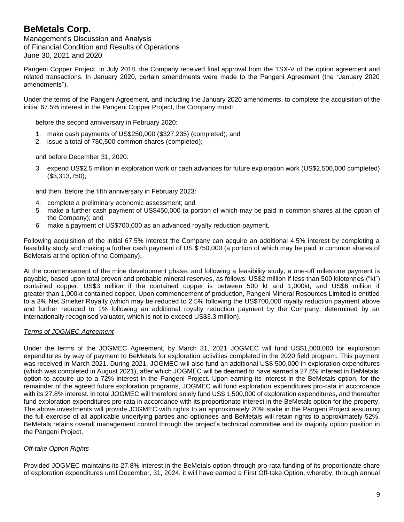Management's Discussion and Analysis of Financial Condition and Results of Operations June 30, 2021 and 2020

Pangeni Copper Project. In July 2018, the Company received final approval from the TSX-V of the option agreement and related transactions. In January 2020, certain amendments were made to the Pangeni Agreement (the "January 2020 amendments").

Under the terms of the Pangeni Agreement, and including the January 2020 amendments, to complete the acquisition of the initial 67.5% interest in the Pangeni Copper Project, the Company must:

before the second anniversary in February 2020:

- 1. make cash payments of US\$250,000 (\$327,235) (completed); and
- 2. issue a total of 780,500 common shares (completed);

and before December 31, 2020:

3. expend US\$2.5 million in exploration work or cash advances for future exploration work (US\$2,500,000 completed) (\$3,313,750);

and then, before the fifth anniversary in February 2023:

- 4. complete a preliminary economic assessment; and
- 5. make a further cash payment of US\$450,000 (a portion of which may be paid in common shares at the option of the Company); and
- 6. make a payment of US\$700,000 as an advanced royalty reduction payment.

Following acquisition of the initial 67.5% interest the Company can acquire an additional 4.5% interest by completing a feasibility study and making a further cash payment of US \$750,000 (a portion of which may be paid in common shares of BeMetals at the option of the Company).

At the commencement of the mine development phase, and following a feasibility study, a one-off milestone payment is payable, based upon total proven and probable mineral reserves, as follows: US\$2 million if less than 500 kilotonnes ("kt") contained copper, US\$3 million if the contained copper is between 500 kt and 1,000kt, and US\$6 million if greater than 1,000kt contained copper. Upon commencement of production, Pangeni Mineral Resources Limited is entitled to a 3% Net Smelter Royalty (which may be reduced to 2.5% following the US\$700,000 royalty reduction payment above and further reduced to 1% following an additional royalty reduction payment by the Company, determined by an internationally recognised valuator, which is not to exceed US\$3.3 million).

### *Terms of JOGMEC Agreement*

Under the terms of the JOGMEC Agreement, by March 31, 2021 JOGMEC will fund US\$1,000,000 for exploration expenditures by way of payment to BeMetals for exploration activities completed in the 2020 field program. This payment was received in March 2021. During 2021, JOGMEC will also fund an additional US\$ 500,000 in exploration expenditures (which was completed in August 2021), after which JOGMEC will be deemed to have earned a 27.8% interest in BeMetals' option to acquire up to a 72% interest in the Pangeni Project. Upon earning its interest in the BeMetals option, for the remainder of the agreed future exploration programs, JOGMEC will fund exploration expenditures pro-rata in accordance with its 27.8% interest. In total JOGMEC will therefore solely fund US\$ 1,500,000 of exploration expenditures, and thereafter fund exploration expenditures pro-rata in accordance with its proportionate interest in the BeMetals option for the property. The above investments will provide JOGMEC with rights to an approximately 20% stake in the Pangeni Project assuming the full exercise of all applicable underlying parties and optionees and BeMetals will retain rights to approximately 52%. BeMetals retains overall management control through the project's technical committee and its majority option position in the Pangeni Project.

### *Off-take Option Rights*

Provided JOGMEC maintains its 27.8% interest in the BeMetals option through pro-rata funding of its proportionate share of exploration expenditures until December, 31, 2024, it will have earned a First Off-take Option, whereby, through annual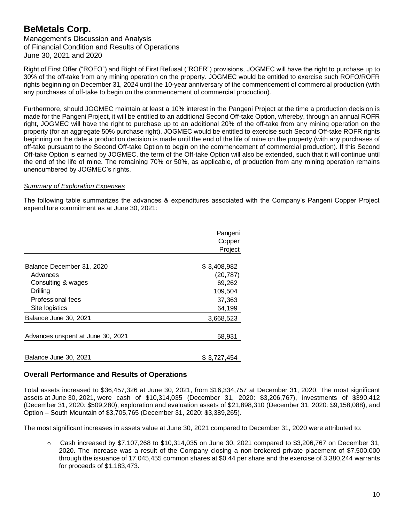Management's Discussion and Analysis of Financial Condition and Results of Operations June 30, 2021 and 2020

Right of First Offer ("ROFO") and Right of First Refusal ("ROFR") provisions, JOGMEC will have the right to purchase up to 30% of the off-take from any mining operation on the property. JOGMEC would be entitled to exercise such ROFO/ROFR rights beginning on December 31, 2024 until the 10-year anniversary of the commencement of commercial production (with any purchases of off-take to begin on the commencement of commercial production).

Furthermore, should JOGMEC maintain at least a 10% interest in the Pangeni Project at the time a production decision is made for the Pangeni Project, it will be entitled to an additional Second Off-take Option, whereby, through an annual ROFR right, JOGMEC will have the right to purchase up to an additional 20% of the off-take from any mining operation on the property (for an aggregate 50% purchase right). JOGMEC would be entitled to exercise such Second Off-take ROFR rights beginning on the date a production decision is made until the end of the life of mine on the property (with any purchases of off-take pursuant to the Second Off-take Option to begin on the commencement of commercial production). If this Second Off-take Option is earned by JOGMEC, the term of the Off-take Option will also be extended, such that it will continue until the end of the life of mine. The remaining 70% or 50%, as applicable, of production from any mining operation remains unencumbered by JOGMEC's rights.

#### *Summary of Exploration Expenses*

The following table summarizes the advances & expenditures associated with the Company's Pangeni Copper Project expenditure commitment as at June 30, 2021:

|                                   | Pangeni<br>Copper<br>Project |
|-----------------------------------|------------------------------|
| Balance December 31, 2020         | \$3,408,982                  |
| Advances                          | (20, 787)                    |
| Consulting & wages                | 69,262                       |
| Drilling                          | 109,504                      |
| Professional fees                 | 37,363                       |
| Site logistics                    | 64,199                       |
| Balance June 30, 2021             | 3,668,523                    |
| Advances unspent at June 30, 2021 | 58,931                       |
| Balance June 30, 2021             | \$3,727,454                  |

## **Overall Performance and Results of Operations**

Total assets increased to \$36,457,326 at June 30, 2021, from \$16,334,757 at December 31, 2020. The most significant assets at June 30, 2021, were cash of \$10,314,035 (December 31, 2020: \$3,206,767), investments of \$390,412 (December 31, 2020: \$509,280), exploration and evaluation assets of \$21,898,310 (December 31, 2020: \$9,158,088), and Option – South Mountain of \$3,705,765 (December 31, 2020: \$3,389,265).

The most significant increases in assets value at June 30, 2021 compared to December 31, 2020 were attributed to:

 $\circ$  Cash increased by \$7,107,268 to \$10,314,035 on June 30, 2021 compared to \$3,206,767 on December 31, 2020. The increase was a result of the Company closing a non-brokered private placement of \$7,500,000 through the issuance of 17,045,455 common shares at \$0.44 per share and the exercise of 3,380,244 warrants for proceeds of \$1,183,473.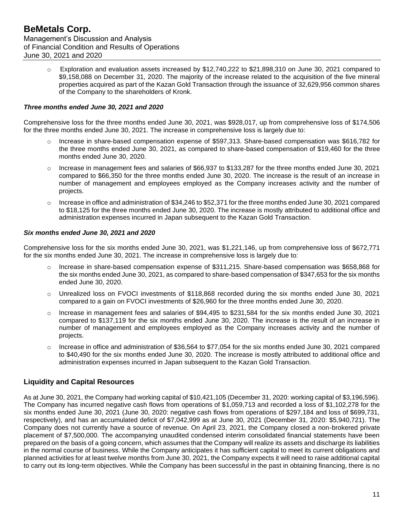$\circ$  Exploration and evaluation assets increased by \$12,740,222 to \$21,898,310 on June 30, 2021 compared to \$9,158,088 on December 31, 2020. The majority of the increase related to the acquisition of the five mineral properties acquired as part of the Kazan Gold Transaction through the issuance of 32,629,956 common shares of the Company to the shareholders of Kronk.

### *Three months ended June 30, 2021 and 2020*

Comprehensive loss for the three months ended June 30, 2021, was \$928,017, up from comprehensive loss of \$174,506 for the three months ended June 30, 2021. The increase in comprehensive loss is largely due to:

- o Increase in share-based compensation expense of \$597,313. Share-based compensation was \$616,782 for the three months ended June 30, 2021, as compared to share-based compensation of \$19,460 for the three months ended June 30, 2020.
- Increase in management fees and salaries of \$66,937 to \$133,287 for the three months ended June 30, 2021 compared to \$66,350 for the three months ended June 30, 2020. The increase is the result of an increase in number of management and employees employed as the Company increases activity and the number of projects.
- $\circ$  Increase in office and administration of \$34,246 to \$52,371 for the three months ended June 30, 2021 compared to \$18,125 for the three months ended June 30, 2020. The increase is mostly attributed to additional office and administration expenses incurred in Japan subsequent to the Kazan Gold Transaction.

#### *Six months ended June 30, 2021 and 2020*

Comprehensive loss for the six months ended June 30, 2021, was \$1,221,146, up from comprehensive loss of \$672,771 for the six months ended June 30, 2021. The increase in comprehensive loss is largely due to:

- o Increase in share-based compensation expense of \$311,215. Share-based compensation was \$658,868 for the six months ended June 30, 2021, as compared to share-based compensation of \$347,653 for the six months ended June 30, 2020.
- o Unrealized loss on FVOCI investments of \$118,868 recorded during the six months ended June 30, 2021 compared to a gain on FVOCI investments of \$26,960 for the three months ended June 30, 2020.
- $\circ$  Increase in management fees and salaries of \$94,495 to \$231,584 for the six months ended June 30, 2021 compared to \$137,119 for the six months ended June 30, 2020. The increase is the result of an increase in number of management and employees employed as the Company increases activity and the number of projects.
- $\circ$  Increase in office and administration of \$36,564 to \$77,054 for the six months ended June 30, 2021 compared to \$40,490 for the six months ended June 30, 2020. The increase is mostly attributed to additional office and administration expenses incurred in Japan subsequent to the Kazan Gold Transaction.

### **Liquidity and Capital Resources**

As at June 30, 2021, the Company had working capital of \$10,421,105 (December 31, 2020: working capital of \$3,196,596). The Company has incurred negative cash flows from operations of \$1,059,713 and recorded a loss of \$1,102,278 for the six months ended June 30, 2021 (June 30, 2020: negative cash flows from operations of \$297,184 and loss of \$699,731, respectively), and has an accumulated deficit of \$7,042,999 as at June 30, 2021 (December 31, 2020: \$5,940,721). The Company does not currently have a source of revenue. On April 23, 2021, the Company closed a non-brokered private placement of \$7,500,000. The accompanying unaudited condensed interim consolidated financial statements have been prepared on the basis of a going concern, which assumes that the Company will realize its assets and discharge its liabilities in the normal course of business. While the Company anticipates it has sufficient capital to meet its current obligations and planned activities for at least twelve months from June 30, 2021, the Company expects it will need to raise additional capital to carry out its long-term objectives. While the Company has been successful in the past in obtaining financing, there is no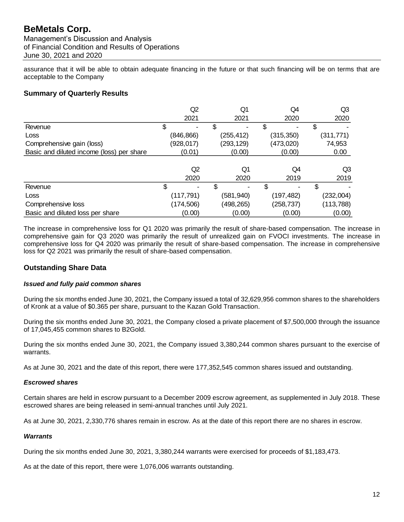Management's Discussion and Analysis of Financial Condition and Results of Operations June 30, 2021 and 2020

assurance that it will be able to obtain adequate financing in the future or that such financing will be on terms that are acceptable to the Company

## **Summary of Quarterly Results**

|                                           | Q2         | Q1         | Q4         | Q3         |
|-------------------------------------------|------------|------------|------------|------------|
|                                           | 2021       | 2021       | 2020       | 2020       |
| Revenue                                   | \$         | S          | \$         | \$         |
| Loss                                      | (846, 866) | (255, 412) | (315, 350) | (311, 771) |
| Comprehensive gain (loss)                 | (928, 017) | (293,129)  | (473,020)  | 74,953     |
| Basic and diluted income (loss) per share | (0.01)     | (0.00)     | (0.00)     | 0.00       |
|                                           |            |            |            |            |
|                                           | Q2         | Q1         | Q4         | Q3         |
|                                           | 2020       | 2020       | 2019       | 2019       |
| Revenue                                   | \$         | \$         |            | \$         |
| Loss                                      | (117, 791) | (581,940)  | (197,482)  | (232,004)  |
| Comprehensive loss                        | (174,506)  | (498,265)  | (258, 737) | (113,788)  |
| Basic and diluted loss per share          | (0.00)     | (0.00)     | (0.00)     | (0.00)     |

The increase in comprehensive loss for Q1 2020 was primarily the result of share-based compensation. The increase in comprehensive gain for Q3 2020 was primarily the result of unrealized gain on FVOCI investments. The increase in comprehensive loss for Q4 2020 was primarily the result of share-based compensation. The increase in comprehensive loss for Q2 2021 was primarily the result of share-based compensation.

### **Outstanding Share Data**

#### *Issued and fully paid common shares*

During the six months ended June 30, 2021, the Company issued a total of 32,629,956 common shares to the shareholders of Kronk at a value of \$0.365 per share, pursuant to the Kazan Gold Transaction.

During the six months ended June 30, 2021, the Company closed a private placement of \$7,500,000 through the issuance of 17,045,455 common shares to B2Gold.

During the six months ended June 30, 2021, the Company issued 3,380,244 common shares pursuant to the exercise of warrants.

As at June 30, 2021 and the date of this report, there were 177,352,545 common shares issued and outstanding.

### *Escrowed shares*

Certain shares are held in escrow pursuant to a December 2009 escrow agreement, as supplemented in July 2018. These escrowed shares are being released in semi-annual tranches until July 2021.

As at June 30, 2021, 2,330,776 shares remain in escrow. As at the date of this report there are no shares in escrow.

#### *Warrants*

During the six months ended June 30, 2021, 3,380,244 warrants were exercised for proceeds of \$1,183,473.

As at the date of this report, there were 1,076,006 warrants outstanding.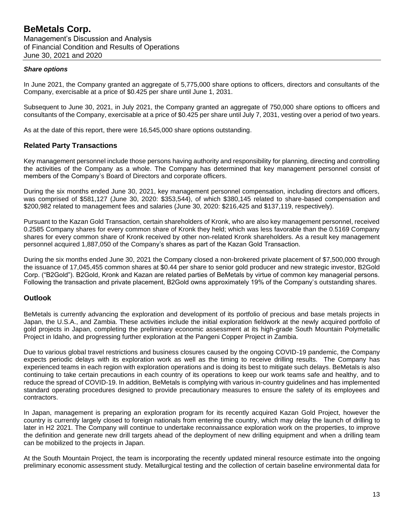#### *Share options*

In June 2021, the Company granted an aggregate of 5,775,000 share options to officers, directors and consultants of the Company, exercisable at a price of \$0.425 per share until June 1, 2031.

Subsequent to June 30, 2021, in July 2021, the Company granted an aggregate of 750,000 share options to officers and consultants of the Company, exercisable at a price of \$0.425 per share until July 7, 2031, vesting over a period of two years.

As at the date of this report, there were 16,545,000 share options outstanding.

### **Related Party Transactions**

Key management personnel include those persons having authority and responsibility for planning, directing and controlling the activities of the Company as a whole. The Company has determined that key management personnel consist of members of the Company's Board of Directors and corporate officers.

During the six months ended June 30, 2021, key management personnel compensation, including directors and officers, was comprised of \$581,127 (June 30, 2020: \$353,544), of which \$380,145 related to share-based compensation and \$200,982 related to management fees and salaries (June 30, 2020: \$216,425 and \$137,119, respectively).

Pursuant to the Kazan Gold Transaction, certain shareholders of Kronk, who are also key management personnel, received 0.2585 Company shares for every common share of Kronk they held; which was less favorable than the 0.5169 Company shares for every common share of Kronk received by other non-related Kronk shareholders. As a result key management personnel acquired 1,887,050 of the Company's shares as part of the Kazan Gold Transaction.

During the six months ended June 30, 2021 the Company closed a non-brokered private placement of \$7,500,000 through the issuance of 17,045,455 common shares at \$0.44 per share to senior gold producer and new strategic investor, B2Gold Corp. ("B2Gold"). B2Gold, Kronk and Kazan are related parties of BeMetals by virtue of common key managerial persons. Following the transaction and private placement, B2Gold owns approximately 19% of the Company's outstanding shares.

## **Outlook**

BeMetals is currently advancing the exploration and development of its portfolio of precious and base metals projects in Japan, the U.S.A., and Zambia. These activities include the initial exploration fieldwork at the newly acquired portfolio of gold projects in Japan, completing the preliminary economic assessment at its high-grade South Mountain Polymetallic Project in Idaho, and progressing further exploration at the Pangeni Copper Project in Zambia.

Due to various global travel restrictions and business closures caused by the ongoing COVID-19 pandemic, the Company expects periodic delays with its exploration work as well as the timing to receive drilling results. The Company has experienced teams in each region with exploration operations and is doing its best to mitigate such delays. BeMetals is also continuing to take certain precautions in each country of its operations to keep our work teams safe and healthy, and to reduce the spread of COVID-19. In addition, BeMetals is complying with various in-country guidelines and has implemented standard operating procedures designed to provide precautionary measures to ensure the safety of its employees and contractors.

In Japan, management is preparing an exploration program for its recently acquired Kazan Gold Project, however the country is currently largely closed to foreign nationals from entering the country, which may delay the launch of drilling to later in H2 2021. The Company will continue to undertake reconnaissance exploration work on the properties, to improve the definition and generate new drill targets ahead of the deployment of new drilling equipment and when a drilling team can be mobilized to the projects in Japan.

At the South Mountain Project, the team is incorporating the recently updated mineral resource estimate into the ongoing preliminary economic assessment study. Metallurgical testing and the collection of certain baseline environmental data for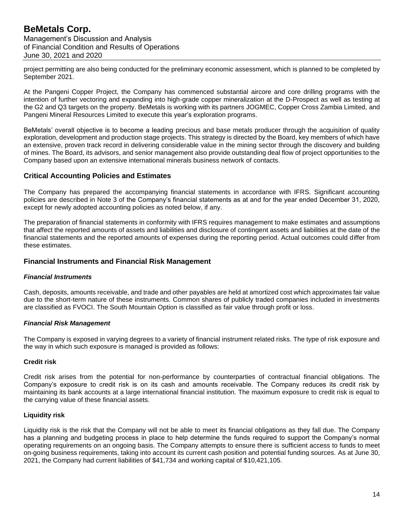project permitting are also being conducted for the preliminary economic assessment, which is planned to be completed by September 2021.

At the Pangeni Copper Project, the Company has commenced substantial aircore and core drilling programs with the intention of further vectoring and expanding into high-grade copper mineralization at the D-Prospect as well as testing at the G2 and Q3 targets on the property. BeMetals is working with its partners JOGMEC, Copper Cross Zambia Limited, and Pangeni Mineral Resources Limited to execute this year's exploration programs.

BeMetals' overall objective is to become a leading precious and base metals producer through the acquisition of quality exploration, development and production stage projects. This strategy is directed by the Board, key members of which have an extensive, proven track record in delivering considerable value in the mining sector through the discovery and building of mines. The Board, its advisors, and senior management also provide outstanding deal flow of project opportunities to the Company based upon an extensive international minerals business network of contacts.

### **Critical Accounting Policies and Estimates**

The Company has prepared the accompanying financial statements in accordance with IFRS. Significant accounting policies are described in Note 3 of the Company's financial statements as at and for the year ended December 31, 2020, except for newly adopted accounting policies as noted below, if any.

The preparation of financial statements in conformity with IFRS requires management to make estimates and assumptions that affect the reported amounts of assets and liabilities and disclosure of contingent assets and liabilities at the date of the financial statements and the reported amounts of expenses during the reporting period. Actual outcomes could differ from these estimates.

### **Financial Instruments and Financial Risk Management**

### *Financial Instruments*

Cash, deposits, amounts receivable, and trade and other payables are held at amortized cost which approximates fair value due to the short-term nature of these instruments. Common shares of publicly traded companies included in investments are classified as FVOCI. The South Mountain Option is classified as fair value through profit or loss.

### *Financial Risk Management*

The Company is exposed in varying degrees to a variety of financial instrument related risks. The type of risk exposure and the way in which such exposure is managed is provided as follows:

#### **Credit risk**

Credit risk arises from the potential for non-performance by counterparties of contractual financial obligations. The Company's exposure to credit risk is on its cash and amounts receivable. The Company reduces its credit risk by maintaining its bank accounts at a large international financial institution. The maximum exposure to credit risk is equal to the carrying value of these financial assets.

#### **Liquidity risk**

Liquidity risk is the risk that the Company will not be able to meet its financial obligations as they fall due. The Company has a planning and budgeting process in place to help determine the funds required to support the Company's normal operating requirements on an ongoing basis. The Company attempts to ensure there is sufficient access to funds to meet on-going business requirements, taking into account its current cash position and potential funding sources. As at June 30, 2021, the Company had current liabilities of \$41,734 and working capital of \$10,421,105.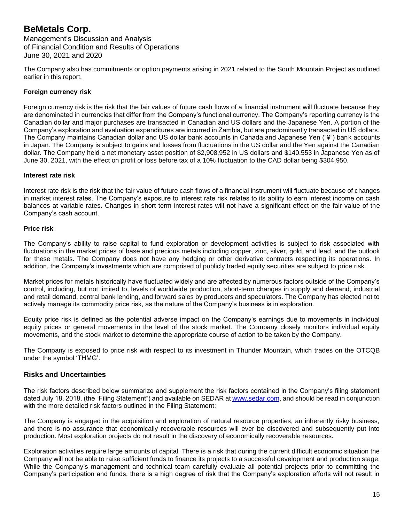The Company also has commitments or option payments arising in 2021 related to the South Mountain Project as outlined earlier in this report.

#### **Foreign currency risk**

Foreign currency risk is the risk that the fair values of future cash flows of a financial instrument will fluctuate because they are denominated in currencies that differ from the Company's functional currency. The Company's reporting currency is the Canadian dollar and major purchases are transacted in Canadian and US dollars and the Japanese Yen. A portion of the Company's exploration and evaluation expenditures are incurred in Zambia, but are predominantly transacted in US dollars. The Company maintains Canadian dollar and US dollar bank accounts in Canada and Japanese Yen ("¥") bank accounts in Japan. The Company is subject to gains and losses from fluctuations in the US dollar and the Yen against the Canadian dollar. The Company held a net monetary asset position of \$2,908,952 in US dollars and \$140,553 in Japanese Yen as of June 30, 2021, with the effect on profit or loss before tax of a 10% fluctuation to the CAD dollar being \$304,950.

#### **Interest rate risk**

Interest rate risk is the risk that the fair value of future cash flows of a financial instrument will fluctuate because of changes in market interest rates. The Company's exposure to interest rate risk relates to its ability to earn interest income on cash balances at variable rates. Changes in short term interest rates will not have a significant effect on the fair value of the Company's cash account.

#### **Price risk**

The Company's ability to raise capital to fund exploration or development activities is subject to risk associated with fluctuations in the market prices of base and precious metals including copper, zinc, silver, gold, and lead, and the outlook for these metals. The Company does not have any hedging or other derivative contracts respecting its operations. In addition, the Company's investments which are comprised of publicly traded equity securities are subject to price risk.

Market prices for metals historically have fluctuated widely and are affected by numerous factors outside of the Company's control, including, but not limited to, levels of worldwide production, short-term changes in supply and demand, industrial and retail demand, central bank lending, and forward sales by producers and speculators. The Company has elected not to actively manage its commodity price risk, as the nature of the Company's business is in exploration.

Equity price risk is defined as the potential adverse impact on the Company's earnings due to movements in individual equity prices or general movements in the level of the stock market. The Company closely monitors individual equity movements, and the stock market to determine the appropriate course of action to be taken by the Company.

The Company is exposed to price risk with respect to its investment in Thunder Mountain, which trades on the OTCQB under the symbol 'THMG'.

### **Risks and Uncertainties**

The risk factors described below summarize and supplement the risk factors contained in the Company's filing statement dated July 18, 2018, (the "Filing Statement") and available on SEDAR a[t www.sedar.com,](http://www.sedar.com/) and should be read in conjunction with the more detailed risk factors outlined in the Filing Statement:

The Company is engaged in the acquisition and exploration of natural resource properties, an inherently risky business, and there is no assurance that economically recoverable resources will ever be discovered and subsequently put into production. Most exploration projects do not result in the discovery of economically recoverable resources.

Exploration activities require large amounts of capital. There is a risk that during the current difficult economic situation the Company will not be able to raise sufficient funds to finance its projects to a successful development and production stage. While the Company's management and technical team carefully evaluate all potential projects prior to committing the Company's participation and funds, there is a high degree of risk that the Company's exploration efforts will not result in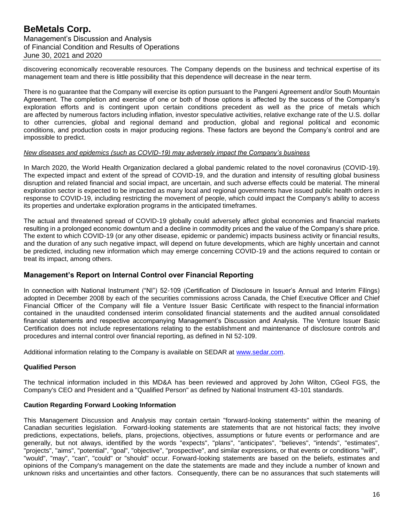discovering economically recoverable resources. The Company depends on the business and technical expertise of its management team and there is little possibility that this dependence will decrease in the near term.

There is no guarantee that the Company will exercise its option pursuant to the Pangeni Agreement and/or South Mountain Agreement. The completion and exercise of one or both of those options is affected by the success of the Company's exploration efforts and is contingent upon certain conditions precedent as well as the price of metals which are affected by numerous factors including inflation, investor speculative activities, relative exchange rate of the U.S. dollar to other currencies, global and regional demand and production, global and regional political and economic conditions, and production costs in major producing regions. These factors are beyond the Company's control and are impossible to predict.

#### *New diseases and epidemics (such as COVID-19) may adversely impact the Company's business*

In March 2020, the World Health Organization declared a global pandemic related to the novel coronavirus (COVID-19). The expected impact and extent of the spread of COVID-19, and the duration and intensity of resulting global business disruption and related financial and social impact, are uncertain, and such adverse effects could be material. The mineral exploration sector is expected to be impacted as many local and regional governments have issued public health orders in response to COVID-19, including restricting the movement of people, which could impact the Company's ability to access its properties and undertake exploration programs in the anticipated timeframes.

The actual and threatened spread of COVID-19 globally could adversely affect global economies and financial markets resulting in a prolonged economic downturn and a decline in commodity prices and the value of the Company's share price. The extent to which COVID-19 (or any other disease, epidemic or pandemic) impacts business activity or financial results, and the duration of any such negative impact, will depend on future developments, which are highly uncertain and cannot be predicted, including new information which may emerge concerning COVID-19 and the actions required to contain or treat its impact, among others.

### **Management's Report on Internal Control over Financial Reporting**

In connection with National Instrument ("NI") 52-109 (Certification of Disclosure in Issuer's Annual and Interim Filings) adopted in December 2008 by each of the securities commissions across Canada, the Chief Executive Officer and Chief Financial Officer of the Company will file a Venture Issuer Basic Certificate with respect to the financial information contained in the unaudited condensed interim consolidated financial statements and the audited annual consolidated financial statements and respective accompanying Management's Discussion and Analysis. The Venture Issuer Basic Certification does not include representations relating to the establishment and maintenance of disclosure controls and procedures and internal control over financial reporting, as defined in NI 52-109.

Additional information relating to the Company is available on SEDAR at [www.sedar.com.](http://www.sedar.com/)

### **Qualified Person**

The technical information included in this MD&A has been reviewed and approved by John Wilton, CGeol FGS, the Company's CEO and President and a "Qualified Person" as defined by National Instrument 43-101 standards.

#### **Caution Regarding Forward Looking Information**

This Management Discussion and Analysis may contain certain "forward-looking statements" within the meaning of Canadian securities legislation. Forward-looking statements are statements that are not historical facts; they involve predictions, expectations, beliefs, plans, projections, objectives, assumptions or future events or performance and are generally, but not always, identified by the words "expects", "plans", "anticipates", "believes", "intends", "estimates", "projects", "aims", "potential", "goal", "objective", "prospective", and similar expressions, or that events or conditions "will", "would", "may", "can", "could" or "should" occur. Forward-looking statements are based on the beliefs, estimates and opinions of the Company's management on the date the statements are made and they include a number of known and unknown risks and uncertainties and other factors. Consequently, there can be no assurances that such statements will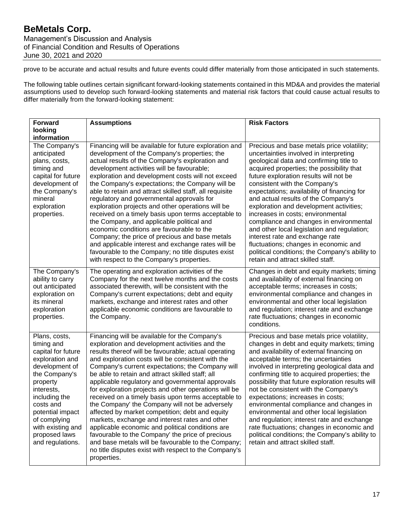prove to be accurate and actual results and future events could differ materially from those anticipated in such statements.

The following table outlines certain significant forward-looking statements contained in this MD&A and provides the material assumptions used to develop such forward-looking statements and material risk factors that could cause actual results to differ materially from the forward-looking statement:

| <b>Forward</b>                                                                                                                                                                                                                                                | <b>Assumptions</b>                                                                                                                                                                                                                                                                                                                                                                                                                                                                                                                                                                                                                                                                                                                                                                                                                                                                    | <b>Risk Factors</b>                                                                                                                                                                                                                                                                                                                                                                                                                                                                                                                                                                                                                                                                        |
|---------------------------------------------------------------------------------------------------------------------------------------------------------------------------------------------------------------------------------------------------------------|---------------------------------------------------------------------------------------------------------------------------------------------------------------------------------------------------------------------------------------------------------------------------------------------------------------------------------------------------------------------------------------------------------------------------------------------------------------------------------------------------------------------------------------------------------------------------------------------------------------------------------------------------------------------------------------------------------------------------------------------------------------------------------------------------------------------------------------------------------------------------------------|--------------------------------------------------------------------------------------------------------------------------------------------------------------------------------------------------------------------------------------------------------------------------------------------------------------------------------------------------------------------------------------------------------------------------------------------------------------------------------------------------------------------------------------------------------------------------------------------------------------------------------------------------------------------------------------------|
| looking<br>information                                                                                                                                                                                                                                        |                                                                                                                                                                                                                                                                                                                                                                                                                                                                                                                                                                                                                                                                                                                                                                                                                                                                                       |                                                                                                                                                                                                                                                                                                                                                                                                                                                                                                                                                                                                                                                                                            |
| The Company's<br>anticipated<br>plans, costs,<br>timing and<br>capital for future<br>development of<br>the Company's<br>mineral<br>exploration<br>properties.                                                                                                 | Financing will be available for future exploration and<br>development of the Company's properties; the<br>actual results of the Company's exploration and<br>development activities will be favourable;<br>exploration and development costs will not exceed<br>the Company's expectations; the Company will be<br>able to retain and attract skilled staff, all requisite<br>regulatory and governmental approvals for<br>exploration projects and other operations will be<br>received on a timely basis upon terms acceptable to<br>the Company, and applicable political and<br>economic conditions are favourable to the<br>Company; the price of precious and base metals<br>and applicable interest and exchange rates will be<br>favourable to the Company; no title disputes exist<br>with respect to the Company's properties.                                              | Precious and base metals price volatility;<br>uncertainties involved in interpreting<br>geological data and confirming title to<br>acquired properties; the possibility that<br>future exploration results will not be<br>consistent with the Company's<br>expectations; availability of financing for<br>and actual results of the Company's<br>exploration and development activities;<br>increases in costs; environmental<br>compliance and changes in environmental<br>and other local legislation and regulation;<br>interest rate and exchange rate<br>fluctuations; changes in economic and<br>political conditions; the Company's ability to<br>retain and attract skilled staff. |
| The Company's<br>ability to carry<br>out anticipated<br>exploration on<br>its mineral<br>exploration<br>properties.                                                                                                                                           | The operating and exploration activities of the<br>Company for the next twelve months and the costs<br>associated therewith, will be consistent with the<br>Company's current expectations; debt and equity<br>markets, exchange and interest rates and other<br>applicable economic conditions are favourable to<br>the Company.                                                                                                                                                                                                                                                                                                                                                                                                                                                                                                                                                     | Changes in debt and equity markets; timing<br>and availability of external financing on<br>acceptable terms; increases in costs;<br>environmental compliance and changes in<br>environmental and other local legislation<br>and regulation; interest rate and exchange<br>rate fluctuations; changes in economic<br>conditions.                                                                                                                                                                                                                                                                                                                                                            |
| Plans, costs,<br>timing and<br>capital for future<br>exploration and<br>development of<br>the Company's<br>property<br>interests,<br>including the<br>costs and<br>potential impact<br>of complying<br>with existing and<br>proposed laws<br>and regulations. | Financing will be available for the Company's<br>exploration and development activities and the<br>results thereof will be favourable; actual operating<br>and exploration costs will be consistent with the<br>Company's current expectations; the Company will<br>be able to retain and attract skilled staff; all<br>applicable regulatory and governmental approvals<br>for exploration projects and other operations will be<br>received on a timely basis upon terms acceptable to<br>the Company' the Company will not be adversely<br>affected by market competition; debt and equity<br>markets, exchange and interest rates and other<br>applicable economic and political conditions are<br>favourable to the Company' the price of precious<br>and base metals will be favourable to the Company;<br>no title disputes exist with respect to the Company's<br>properties. | Precious and base metals price volatility,<br>changes in debt and equity markets; timing<br>and availability of external financing on<br>acceptable terms; the uncertainties<br>involved in interpreting geological data and<br>confirming title to acquired properties; the<br>possibility that future exploration results will<br>not be consistent with the Company's<br>expectations; increases in costs;<br>environmental compliance and changes in<br>environmental and other local legislation<br>and regulation; interest rate and exchange<br>rate fluctuations; changes in economic and<br>political conditions; the Company's ability to<br>retain and attract skilled staff.   |